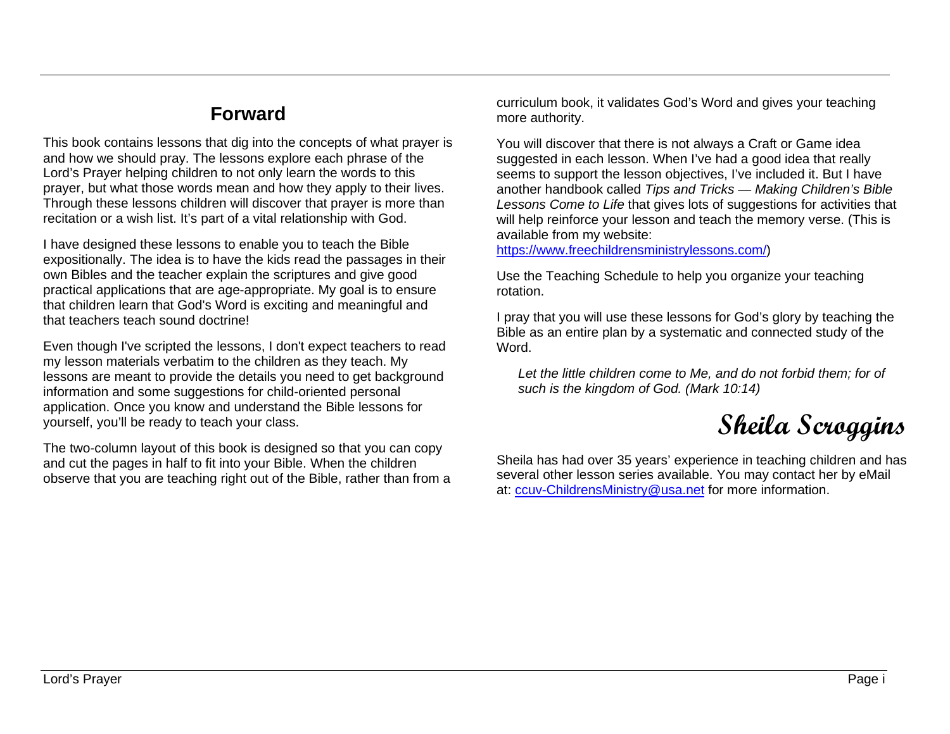## **Forward**

This book contains lessons that dig into the concepts of what prayer is and how we should pray. The lessons explore each phrase of the Lord's Prayer helping children to not only learn the words to this prayer, but what those words mean and how they apply to their lives. Through these lessons children will discover that prayer is more than recitation or a wish list. It's part of a vital relationship with God.

I have designed these lessons to enable you to teach the Bible expositionally. The idea is to have the kids read the passages in their own Bibles and the teacher explain the scriptures and give good practical applications that are age-appropriate. My goal is to ensure that children learn that God's Word is exciting and meaningful and that teachers teach sound doctrine!

Even though I've scripted the lessons, I don't expect teachers to read my lesson materials verbatim to the children as they teach. My lessons are meant to provide the details you need to get background information and some suggestions for child-oriented personal application. Once you know and understand the Bible lessons for yourself, you'll be ready to teach your class.

The two-column layout of this book is designed so that you can copy and cut the pages in half to fit into your Bible. When the children observe that you are teaching right out of the Bible, rather than from a curriculum book, it validates God's Word and gives your teaching more authority.

You will discover that there is not always a Craft or Game idea suggested in each lesson. When I've had a good idea that really seems to support the lesson objectives, I've included it. But I have another handbook called *Tips and Tricks — Making Children's Bible Lessons Come to Life* that gives lots of suggestions for activities that will help reinforce your lesson and teach the memory verse. (This is available from my website:

[https://www.freechildrensministrylessons.com/\)](https://www.freechildrensministrylessons.com/)

Use the Teaching Schedule to help you organize your teaching rotation.

I pray that you will use these lessons for God's glory by teaching the Bible as an entire plan by a systematic and connected study of the Word.

*Let the little children come to Me, and do not forbid them; for of such is the kingdom of God. (Mark 10:14)*

## **Sheila Scroggins**

Sheila has had over 35 years' experience in teaching children and has several other lesson series available. You may contact her by eMail at: [ccuv-ChildrensMinistry@usa.net](mailto:ccuv-ChildrensMinistry@usa.net) for more information.